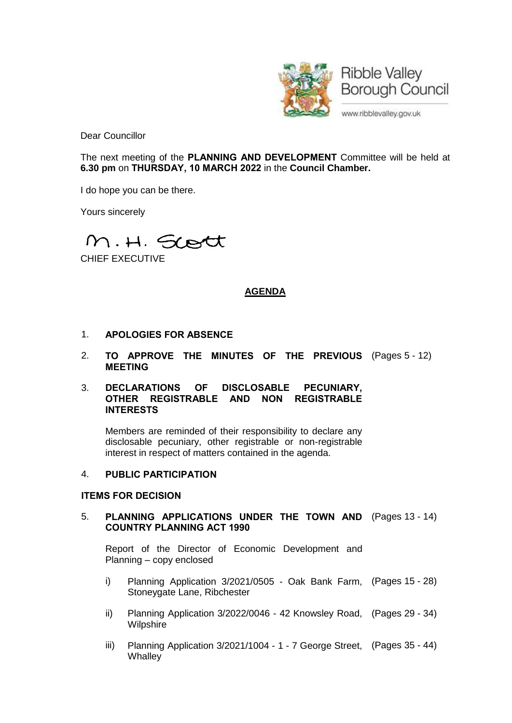

Dear Councillor

The next meeting of the **PLANNING AND DEVELOPMENT** Committee will be held at **6.30 pm** on **THURSDAY, 10 MARCH 2022** in the **Council Chamber.**

I do hope you can be there.

Yours sincerely

M.H. Scott

CHIEF EXECUTIVE

# **AGENDA**

- 1. **APOLOGIES FOR ABSENCE**
- 2. **TO APPROVE THE MINUTES OF THE PREVIOUS** (Pages 5 12) **MEETING**

#### 3. **DECLARATIONS OF DISCLOSABLE PECUNIARY, OTHER REGISTRABLE AND NON REGISTRABLE INTERESTS**

Members are reminded of their responsibility to declare any disclosable pecuniary, other registrable or non-registrable interest in respect of matters contained in the agenda.

#### 4. **PUBLIC PARTICIPATION**

## **ITEMS FOR DECISION**

## 5. **PLANNING APPLICATIONS UNDER THE TOWN AND** (Pages 13 - 14) **COUNTRY PLANNING ACT 1990**

Report of the Director of Economic Development and Planning – copy enclosed

- i) Planning Application 3/2021/0505 Oak Bank Farm, (Pages 15 28) Stoneygate Lane, Ribchester
- ii) Planning Application 3/2022/0046 42 Knowsley Road, (Pages 29 34) **Wilpshire**
- iii) Planning Application 3/2021/1004 1 7 George Street, (Pages 35 44)**Whalley**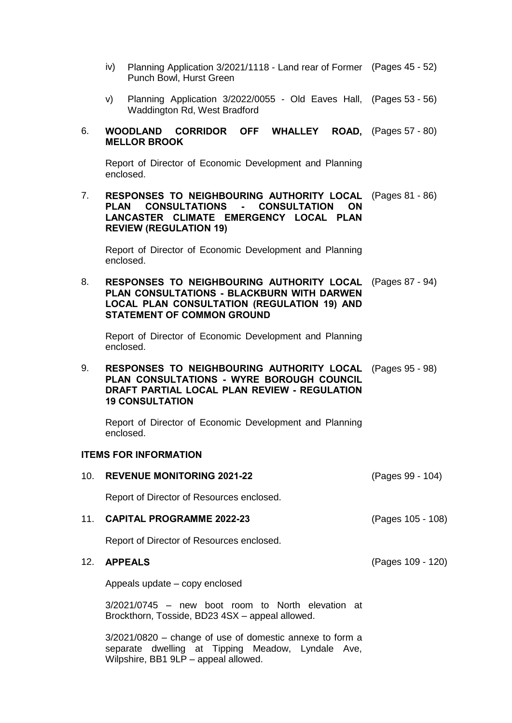- iv) Planning Application 3/2021/1118 Land rear of Former (Pages 45 52) Punch Bowl, Hurst Green
- v) Planning Application 3/2022/0055 Old Eaves Hall, (Pages 53 56) Waddington Rd, West Bradford

#### 6. **WOODLAND CORRIDOR OFF WHALLEY ROAD, MELLOR BROOK ROAD,** (Pages 57 - 80)

Report of Director of Economic Development and Planning enclosed.

7. **RESPONSES TO NEIGHBOURING AUTHORITY LOCAL** (Pages 81 - 86) **PLAN CONSULTATIONS - CONSULTATION ON LANCASTER CLIMATE EMERGENCY LOCAL PLAN REVIEW (REGULATION 19)**

Report of Director of Economic Development and Planning enclosed.

8. **RESPONSES TO NEIGHBOURING AUTHORITY LOCAL** (Pages 87 - 94) **PLAN CONSULTATIONS - BLACKBURN WITH DARWEN LOCAL PLAN CONSULTATION (REGULATION 19) AND STATEMENT OF COMMON GROUND**

Report of Director of Economic Development and Planning enclosed.

9. **RESPONSES TO NEIGHBOURING AUTHORITY LOCAL** (Pages 95 - 98) **PLAN CONSULTATIONS - WYRE BOROUGH COUNCIL DRAFT PARTIAL LOCAL PLAN REVIEW - REGULATION 19 CONSULTATION**

Report of Director of Economic Development and Planning enclosed.

#### **ITEMS FOR INFORMATION**

10. **REVENUE MONITORING 2021-22** (Pages 99 - 104) Report of Director of Resources enclosed. 11. **CAPITAL PROGRAMME 2022-23** (Pages 105 - 108) Report of Director of Resources enclosed. 12. **APPEALS** (Pages 109 - 120) Appeals update – copy enclosed 3/2021/0745 – new boot room to North elevation at Brockthorn, Tosside, BD23 4SX – appeal allowed. 3/2021/0820 – change of use of domestic annexe to form a

separate dwelling at Tipping Meadow, Lyndale Ave, Wilpshire, BB1 9LP – appeal allowed.